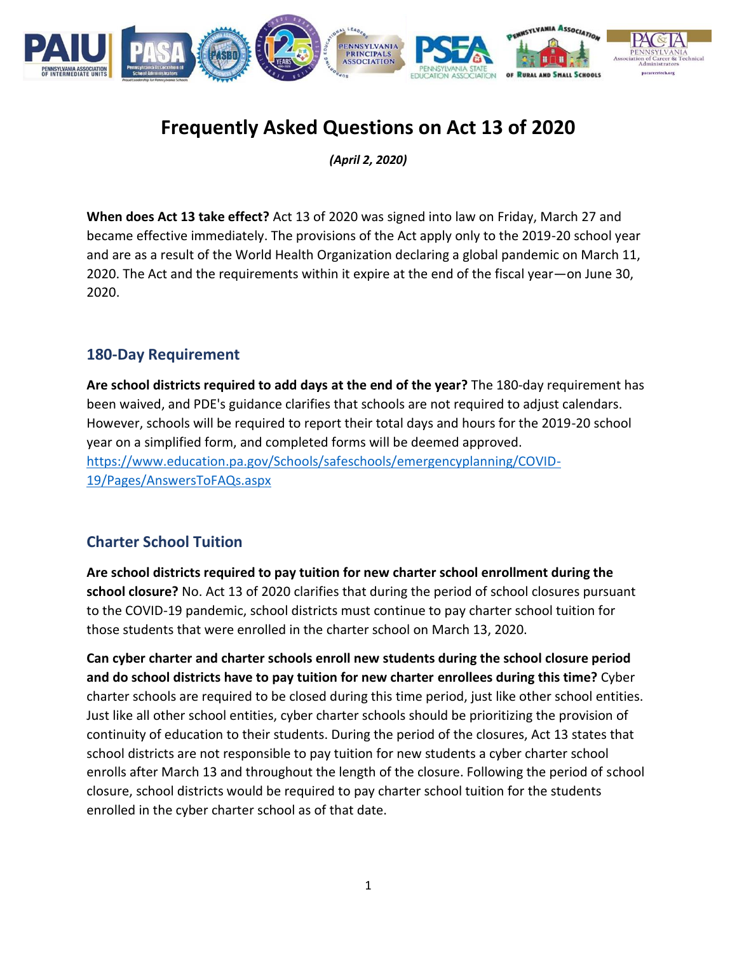

# **Frequently Asked Questions on Act 13 of 2020**

*(April 2, 2020)*

**When does Act 13 take effect?** Act 13 of 2020 was signed into law on Friday, March 27 and became effective immediately. The provisions of the Act apply only to the 2019-20 school year and are as a result of the World Health Organization declaring a global pandemic on March 11, 2020. The Act and the requirements within it expire at the end of the fiscal year—on June 30, 2020.

#### **180-Day Requirement**

**Are school districts required to add days at the end of the year?** The 180-day requirement has been waived, and PDE's guidance clarifies that schools are not required to adjust calendars. However, schools will be required to report their total days and hours for the 2019-20 school year on a simplified form, and completed forms will be deemed approved. [https://www.education.pa.gov/Schools/safeschools/emergencyplanning/COVID-](https://www.education.pa.gov/Schools/safeschools/emergencyplanning/COVID-19/Pages/AnswersToFAQs.aspx)[19/Pages/AnswersToFAQs.aspx](https://www.education.pa.gov/Schools/safeschools/emergencyplanning/COVID-19/Pages/AnswersToFAQs.aspx)

#### **Charter School Tuition**

**Are school districts required to pay tuition for new charter school enrollment during the school closure?** No. Act 13 of 2020 clarifies that during the period of school closures pursuant to the COVID-19 pandemic, school districts must continue to pay charter school tuition for those students that were enrolled in the charter school on March 13, 2020.

**Can cyber charter and charter schools enroll new students during the school closure period and do school districts have to pay tuition for new charter enrollees during this time?** Cyber charter schools are required to be closed during this time period, just like other school entities. Just like all other school entities, cyber charter schools should be prioritizing the provision of continuity of education to their students. During the period of the closures, Act 13 states that school districts are not responsible to pay tuition for new students a cyber charter school enrolls after March 13 and throughout the length of the closure. Following the period of school closure, school districts would be required to pay charter school tuition for the students enrolled in the cyber charter school as of that date.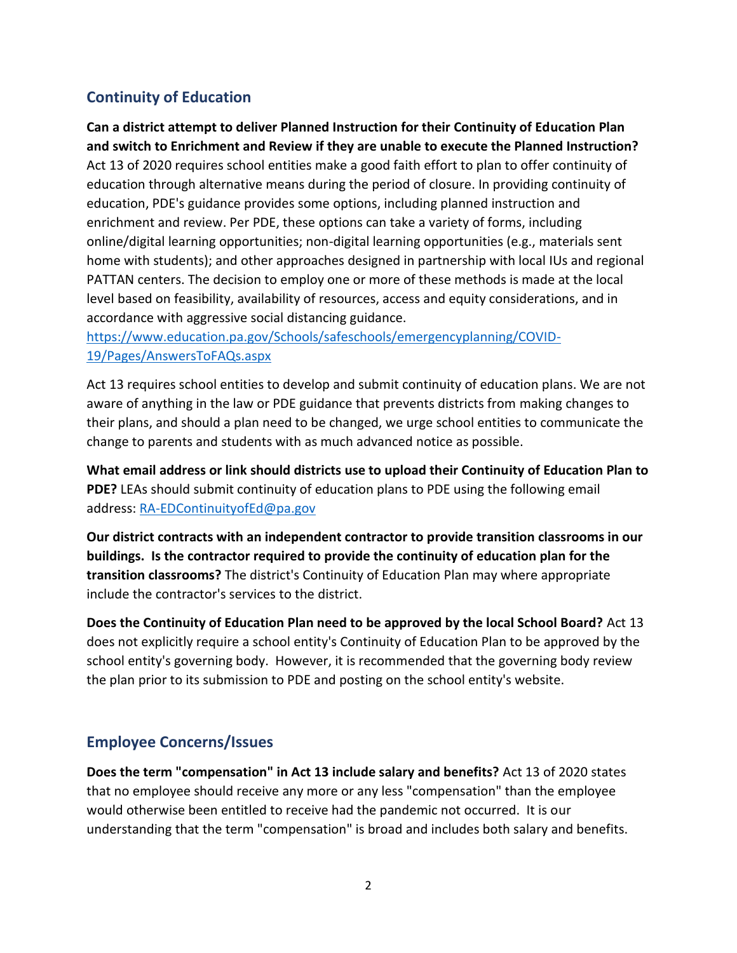## **Continuity of Education**

**Can a district attempt to deliver Planned Instruction for their Continuity of Education Plan and switch to Enrichment and Review if they are unable to execute the Planned Instruction?** Act 13 of 2020 requires school entities make a good faith effort to plan to offer continuity of education through alternative means during the period of closure. In providing continuity of education, PDE's guidance provides some options, including planned instruction and enrichment and review. Per PDE, these options can take a variety of forms, including online/digital learning opportunities; non-digital learning opportunities (e.g., materials sent home with students); and other approaches designed in partnership with local IUs and regional PATTAN centers. The decision to employ one or more of these methods is made at the local level based on feasibility, availability of resources, access and equity considerations, and in accordance with aggressive social distancing guidance.

[https://www.education.pa.gov/Schools/safeschools/emergencyplanning/COVID-](https://www.education.pa.gov/Schools/safeschools/emergencyplanning/COVID-19/Pages/AnswersToFAQs.aspx)[19/Pages/AnswersToFAQs.aspx](https://www.education.pa.gov/Schools/safeschools/emergencyplanning/COVID-19/Pages/AnswersToFAQs.aspx)

Act 13 requires school entities to develop and submit continuity of education plans. We are not aware of anything in the law or PDE guidance that prevents districts from making changes to their plans, and should a plan need to be changed, we urge school entities to communicate the change to parents and students with as much advanced notice as possible.

**What email address or link should districts use to upload their Continuity of Education Plan to PDE?** LEAs should submit continuity of education plans to PDE using the following email address: [RA-EDContinuityofEd@pa.gov](mailto:RA-EDContinuityofEd@pa.gov)

**Our district contracts with an independent contractor to provide transition classrooms in our buildings. Is the contractor required to provide the continuity of education plan for the transition classrooms?** The district's Continuity of Education Plan may where appropriate include the contractor's services to the district.

**Does the Continuity of Education Plan need to be approved by the local School Board?** Act 13 does not explicitly require a school entity's Continuity of Education Plan to be approved by the school entity's governing body. However, it is recommended that the governing body review the plan prior to its submission to PDE and posting on the school entity's website.

#### **Employee Concerns/Issues**

**Does the term "compensation" in Act 13 include salary and benefits?** Act 13 of 2020 states that no employee should receive any more or any less "compensation" than the employee would otherwise been entitled to receive had the pandemic not occurred. It is our understanding that the term "compensation" is broad and includes both salary and benefits.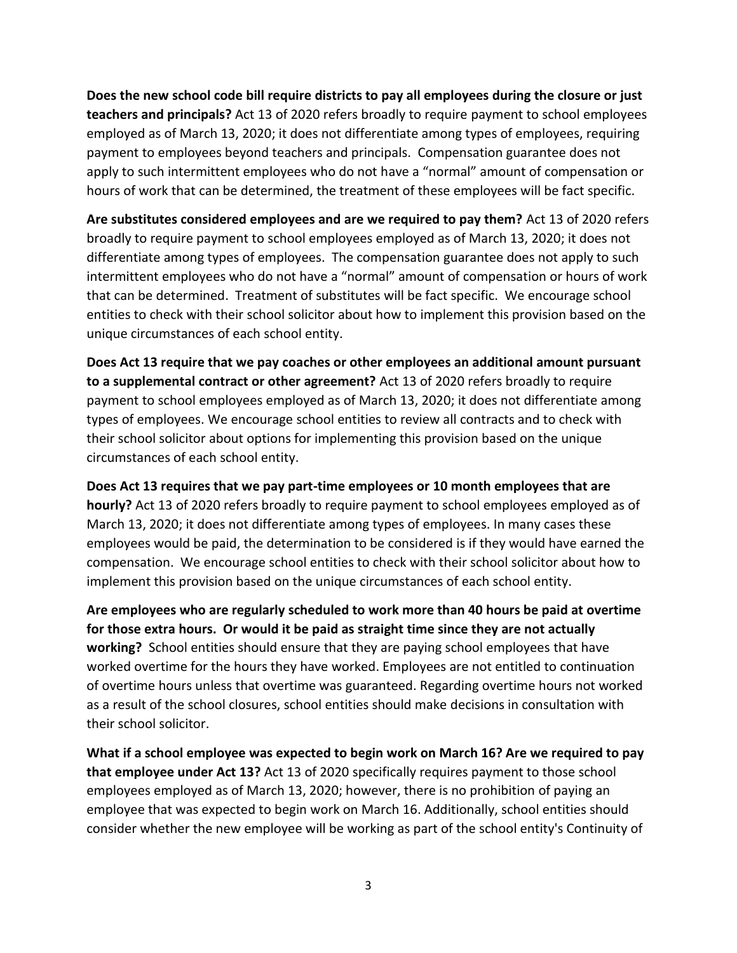**Does the new school code bill require districts to pay all employees during the closure or just teachers and principals?** Act 13 of 2020 refers broadly to require payment to school employees employed as of March 13, 2020; it does not differentiate among types of employees, requiring payment to employees beyond teachers and principals. Compensation guarantee does not apply to such intermittent employees who do not have a "normal" amount of compensation or hours of work that can be determined, the treatment of these employees will be fact specific.

**Are substitutes considered employees and are we required to pay them?** Act 13 of 2020 refers broadly to require payment to school employees employed as of March 13, 2020; it does not differentiate among types of employees. The compensation guarantee does not apply to such intermittent employees who do not have a "normal" amount of compensation or hours of work that can be determined. Treatment of substitutes will be fact specific. We encourage school entities to check with their school solicitor about how to implement this provision based on the unique circumstances of each school entity.

**Does Act 13 require that we pay coaches or other employees an additional amount pursuant to a supplemental contract or other agreement?** Act 13 of 2020 refers broadly to require payment to school employees employed as of March 13, 2020; it does not differentiate among types of employees. We encourage school entities to review all contracts and to check with their school solicitor about options for implementing this provision based on the unique circumstances of each school entity.

**Does Act 13 requires that we pay part-time employees or 10 month employees that are hourly?** Act 13 of 2020 refers broadly to require payment to school employees employed as of March 13, 2020; it does not differentiate among types of employees. In many cases these employees would be paid, the determination to be considered is if they would have earned the compensation. We encourage school entities to check with their school solicitor about how to implement this provision based on the unique circumstances of each school entity.

**Are employees who are regularly scheduled to work more than 40 hours be paid at overtime for those extra hours. Or would it be paid as straight time since they are not actually working?** School entities should ensure that they are paying school employees that have worked overtime for the hours they have worked. Employees are not entitled to continuation of overtime hours unless that overtime was guaranteed. Regarding overtime hours not worked as a result of the school closures, school entities should make decisions in consultation with their school solicitor.

**What if a school employee was expected to begin work on March 16? Are we required to pay that employee under Act 13?** Act 13 of 2020 specifically requires payment to those school employees employed as of March 13, 2020; however, there is no prohibition of paying an employee that was expected to begin work on March 16. Additionally, school entities should consider whether the new employee will be working as part of the school entity's Continuity of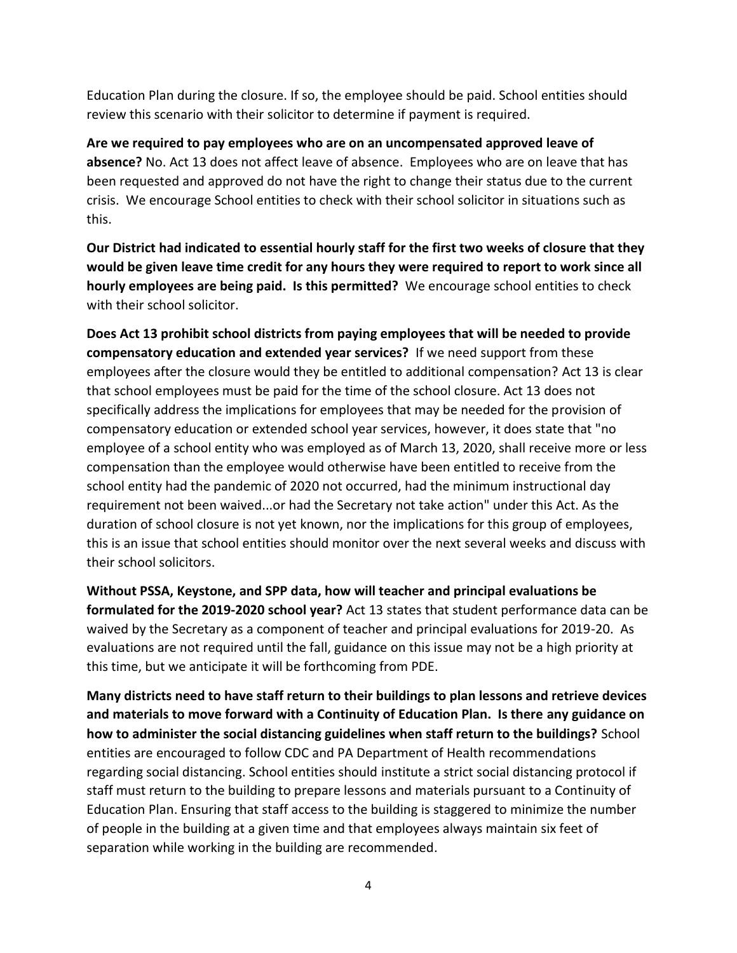Education Plan during the closure. If so, the employee should be paid. School entities should review this scenario with their solicitor to determine if payment is required.

**Are we required to pay employees who are on an uncompensated approved leave of absence?** No. Act 13 does not affect leave of absence. Employees who are on leave that has been requested and approved do not have the right to change their status due to the current crisis. We encourage School entities to check with their school solicitor in situations such as this.

**Our District had indicated to essential hourly staff for the first two weeks of closure that they would be given leave time credit for any hours they were required to report to work since all hourly employees are being paid. Is this permitted?** We encourage school entities to check with their school solicitor.

**Does Act 13 prohibit school districts from paying employees that will be needed to provide compensatory education and extended year services?** If we need support from these employees after the closure would they be entitled to additional compensation? Act 13 is clear that school employees must be paid for the time of the school closure. Act 13 does not specifically address the implications for employees that may be needed for the provision of compensatory education or extended school year services, however, it does state that "no employee of a school entity who was employed as of March 13, 2020, shall receive more or less compensation than the employee would otherwise have been entitled to receive from the school entity had the pandemic of 2020 not occurred, had the minimum instructional day requirement not been waived...or had the Secretary not take action" under this Act. As the duration of school closure is not yet known, nor the implications for this group of employees, this is an issue that school entities should monitor over the next several weeks and discuss with their school solicitors.

**Without PSSA, Keystone, and SPP data, how will teacher and principal evaluations be formulated for the 2019-2020 school year?** Act 13 states that student performance data can be waived by the Secretary as a component of teacher and principal evaluations for 2019-20. As evaluations are not required until the fall, guidance on this issue may not be a high priority at this time, but we anticipate it will be forthcoming from PDE.

**Many districts need to have staff return to their buildings to plan lessons and retrieve devices and materials to move forward with a Continuity of Education Plan. Is there any guidance on how to administer the social distancing guidelines when staff return to the buildings?** School entities are encouraged to follow CDC and PA Department of Health recommendations regarding social distancing. School entities should institute a strict social distancing protocol if staff must return to the building to prepare lessons and materials pursuant to a Continuity of Education Plan. Ensuring that staff access to the building is staggered to minimize the number of people in the building at a given time and that employees always maintain six feet of separation while working in the building are recommended.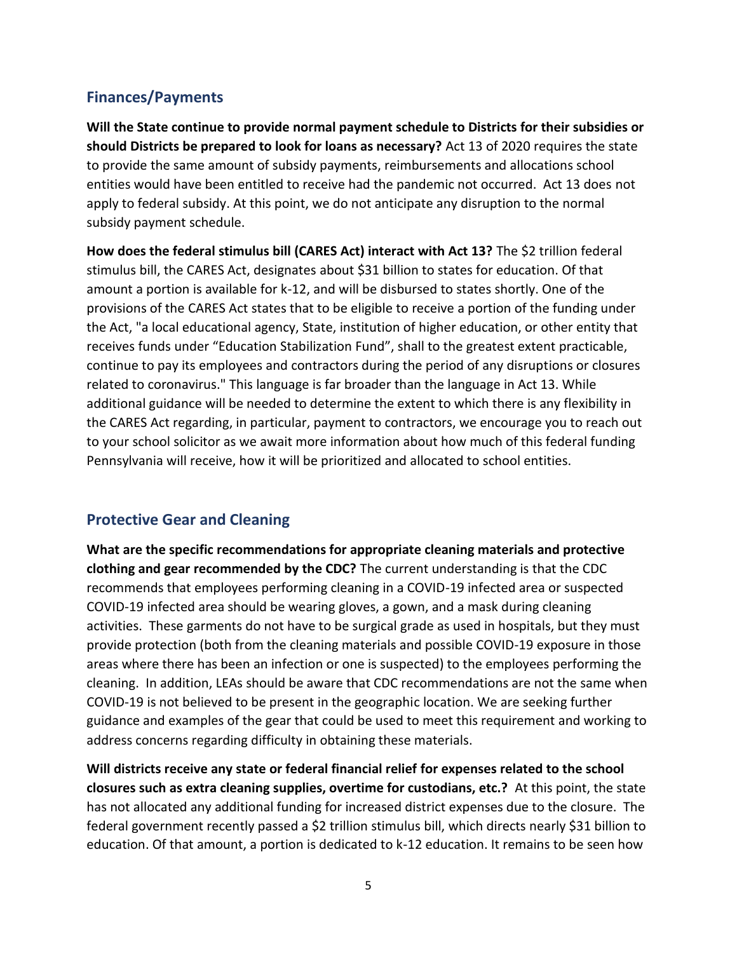#### **Finances/Payments**

**Will the State continue to provide normal payment schedule to Districts for their subsidies or should Districts be prepared to look for loans as necessary?** Act 13 of 2020 requires the state to provide the same amount of subsidy payments, reimbursements and allocations school entities would have been entitled to receive had the pandemic not occurred. Act 13 does not apply to federal subsidy. At this point, we do not anticipate any disruption to the normal subsidy payment schedule.

How does the federal stimulus bill (CARES Act) interact with Act 13? The \$2 trillion federal stimulus bill, the CARES Act, designates about \$31 billion to states for education. Of that amount a portion is available for k-12, and will be disbursed to states shortly. One of the provisions of the CARES Act states that to be eligible to receive a portion of the funding under the Act, "a local educational agency, State, institution of higher education, or other entity that receives funds under "Education Stabilization Fund", shall to the greatest extent practicable, continue to pay its employees and contractors during the period of any disruptions or closures related to coronavirus." This language is far broader than the language in Act 13. While additional guidance will be needed to determine the extent to which there is any flexibility in the CARES Act regarding, in particular, payment to contractors, we encourage you to reach out to your school solicitor as we await more information about how much of this federal funding Pennsylvania will receive, how it will be prioritized and allocated to school entities.

#### **Protective Gear and Cleaning**

**What are the specific recommendations for appropriate cleaning materials and protective clothing and gear recommended by the CDC?** The current understanding is that the CDC recommends that employees performing cleaning in a COVID-19 infected area or suspected COVID-19 infected area should be wearing gloves, a gown, and a mask during cleaning activities. These garments do not have to be surgical grade as used in hospitals, but they must provide protection (both from the cleaning materials and possible COVID-19 exposure in those areas where there has been an infection or one is suspected) to the employees performing the cleaning. In addition, LEAs should be aware that CDC recommendations are not the same when COVID-19 is not believed to be present in the geographic location. We are seeking further guidance and examples of the gear that could be used to meet this requirement and working to address concerns regarding difficulty in obtaining these materials.

**Will districts receive any state or federal financial relief for expenses related to the school closures such as extra cleaning supplies, overtime for custodians, etc.?** At this point, the state has not allocated any additional funding for increased district expenses due to the closure. The federal government recently passed a \$2 trillion stimulus bill, which directs nearly \$31 billion to education. Of that amount, a portion is dedicated to k-12 education. It remains to be seen how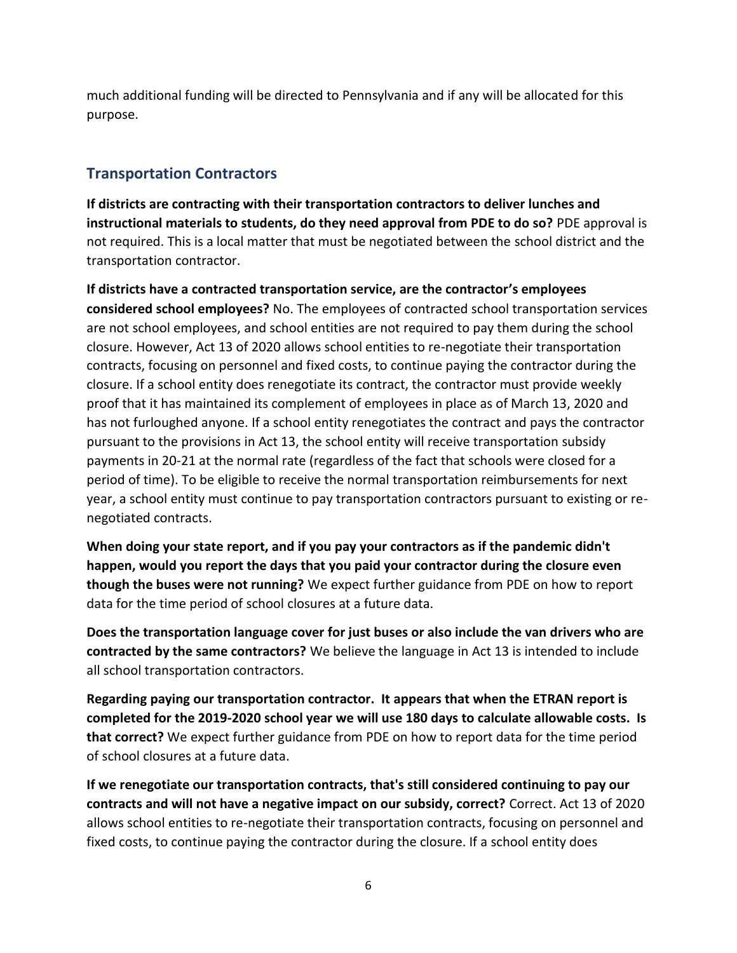much additional funding will be directed to Pennsylvania and if any will be allocated for this purpose.

### **Transportation Contractors**

**If districts are contracting with their transportation contractors to deliver lunches and instructional materials to students, do they need approval from PDE to do so?** PDE approval is not required. This is a local matter that must be negotiated between the school district and the transportation contractor.

**If districts have a contracted transportation service, are the contractor's employees considered school employees?** No. The employees of contracted school transportation services are not school employees, and school entities are not required to pay them during the school closure. However, Act 13 of 2020 allows school entities to re-negotiate their transportation contracts, focusing on personnel and fixed costs, to continue paying the contractor during the closure. If a school entity does renegotiate its contract, the contractor must provide weekly proof that it has maintained its complement of employees in place as of March 13, 2020 and has not furloughed anyone. If a school entity renegotiates the contract and pays the contractor pursuant to the provisions in Act 13, the school entity will receive transportation subsidy payments in 20-21 at the normal rate (regardless of the fact that schools were closed for a period of time). To be eligible to receive the normal transportation reimbursements for next year, a school entity must continue to pay transportation contractors pursuant to existing or renegotiated contracts.

**When doing your state report, and if you pay your contractors as if the pandemic didn't happen, would you report the days that you paid your contractor during the closure even though the buses were not running?** We expect further guidance from PDE on how to report data for the time period of school closures at a future data.

**Does the transportation language cover for just buses or also include the van drivers who are contracted by the same contractors?** We believe the language in Act 13 is intended to include all school transportation contractors.

**Regarding paying our transportation contractor. It appears that when the ETRAN report is completed for the 2019-2020 school year we will use 180 days to calculate allowable costs. Is that correct?** We expect further guidance from PDE on how to report data for the time period of school closures at a future data.

**If we renegotiate our transportation contracts, that's still considered continuing to pay our contracts and will not have a negative impact on our subsidy, correct?** Correct. Act 13 of 2020 allows school entities to re-negotiate their transportation contracts, focusing on personnel and fixed costs, to continue paying the contractor during the closure. If a school entity does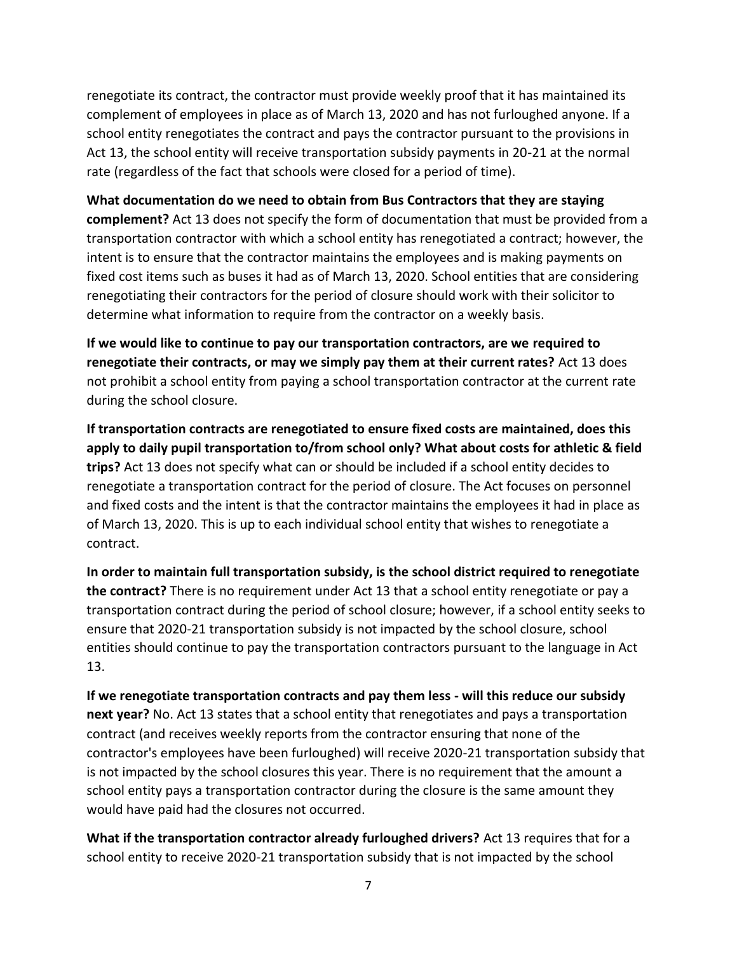renegotiate its contract, the contractor must provide weekly proof that it has maintained its complement of employees in place as of March 13, 2020 and has not furloughed anyone. If a school entity renegotiates the contract and pays the contractor pursuant to the provisions in Act 13, the school entity will receive transportation subsidy payments in 20-21 at the normal rate (regardless of the fact that schools were closed for a period of time).

**What documentation do we need to obtain from Bus Contractors that they are staying complement?** Act 13 does not specify the form of documentation that must be provided from a transportation contractor with which a school entity has renegotiated a contract; however, the intent is to ensure that the contractor maintains the employees and is making payments on fixed cost items such as buses it had as of March 13, 2020. School entities that are considering renegotiating their contractors for the period of closure should work with their solicitor to determine what information to require from the contractor on a weekly basis.

**If we would like to continue to pay our transportation contractors, are we required to renegotiate their contracts, or may we simply pay them at their current rates?** Act 13 does not prohibit a school entity from paying a school transportation contractor at the current rate during the school closure.

**If transportation contracts are renegotiated to ensure fixed costs are maintained, does this apply to daily pupil transportation to/from school only? What about costs for athletic & field trips?** Act 13 does not specify what can or should be included if a school entity decides to renegotiate a transportation contract for the period of closure. The Act focuses on personnel and fixed costs and the intent is that the contractor maintains the employees it had in place as of March 13, 2020. This is up to each individual school entity that wishes to renegotiate a contract.

**In order to maintain full transportation subsidy, is the school district required to renegotiate the contract?** There is no requirement under Act 13 that a school entity renegotiate or pay a transportation contract during the period of school closure; however, if a school entity seeks to ensure that 2020-21 transportation subsidy is not impacted by the school closure, school entities should continue to pay the transportation contractors pursuant to the language in Act 13.

**If we renegotiate transportation contracts and pay them less - will this reduce our subsidy next year?** No. Act 13 states that a school entity that renegotiates and pays a transportation contract (and receives weekly reports from the contractor ensuring that none of the contractor's employees have been furloughed) will receive 2020-21 transportation subsidy that is not impacted by the school closures this year. There is no requirement that the amount a school entity pays a transportation contractor during the closure is the same amount they would have paid had the closures not occurred.

**What if the transportation contractor already furloughed drivers?** Act 13 requires that for a school entity to receive 2020-21 transportation subsidy that is not impacted by the school